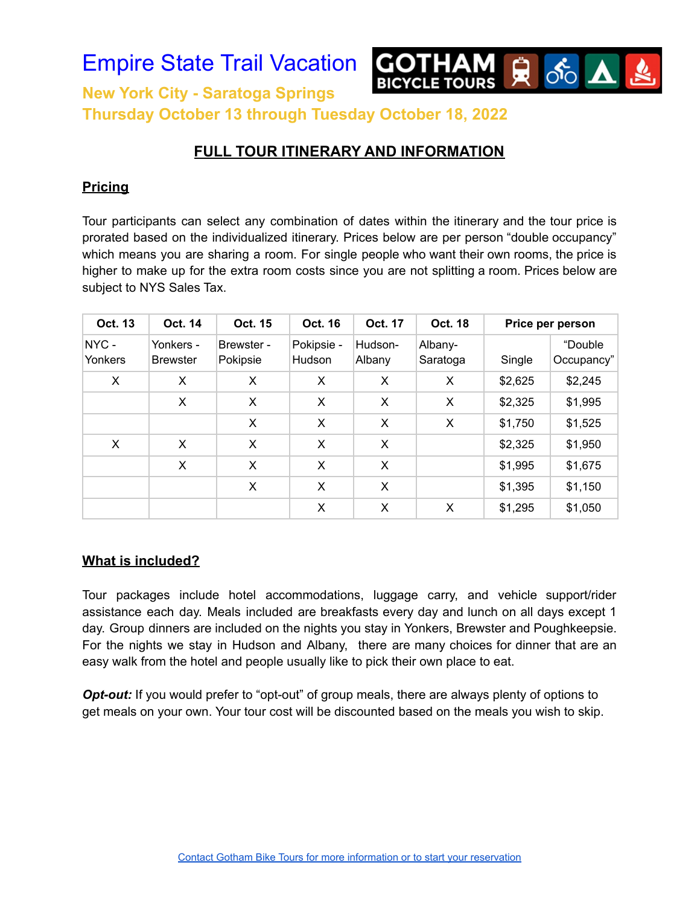

**New York City - Saratoga Springs**

**Thursday October 13 through Tuesday October 18, 2022**

### **FULL TOUR ITINERARY AND INFORMATION**

### **Pricing**

Tour participants can select any combination of dates within the itinerary and the tour price is prorated based on the individualized itinerary. Prices below are per person "double occupancy" which means you are sharing a room. For single people who want their own rooms, the price is higher to make up for the extra room costs since you are not splitting a room. Prices below are subject to NYS Sales Tax.

| Oct. 13         | <b>Oct. 14</b>               | Oct. 15                | <b>Oct. 16</b>       | Oct. 17           | <b>Oct. 18</b>      | Price per person |                       |
|-----------------|------------------------------|------------------------|----------------------|-------------------|---------------------|------------------|-----------------------|
| NYC-<br>Yonkers | Yonkers -<br><b>Brewster</b> | Brewster -<br>Pokipsie | Pokipsie -<br>Hudson | Hudson-<br>Albany | Albany-<br>Saratoga | Single           | "Double<br>Occupancy" |
| X               | X                            | X                      | X                    | X                 | X                   | \$2,625          | \$2,245               |
|                 | X                            | X                      | X                    | X                 | X                   | \$2,325          | \$1,995               |
|                 |                              | X                      | X                    | X                 | X                   | \$1,750          | \$1,525               |
| X               | X                            | X                      | X                    | X                 |                     | \$2,325          | \$1,950               |
|                 | X                            | X                      | X                    | X                 |                     | \$1,995          | \$1,675               |
|                 |                              | X                      | X                    | X                 |                     | \$1,395          | \$1,150               |
|                 |                              |                        | X                    | X                 | X                   | \$1,295          | \$1,050               |

### **What is included?**

Tour packages include hotel accommodations, luggage carry, and vehicle support/rider assistance each day. Meals included are breakfasts every day and lunch on all days except 1 day. Group dinners are included on the nights you stay in Yonkers, Brewster and Poughkeepsie. For the nights we stay in Hudson and Albany, there are many choices for dinner that are an easy walk from the hotel and people usually like to pick their own place to eat.

*Opt-out:* If you would prefer to "opt-out" of group meals, there are always plenty of options to get meals on your own. Your tour cost will be discounted based on the meals you wish to skip.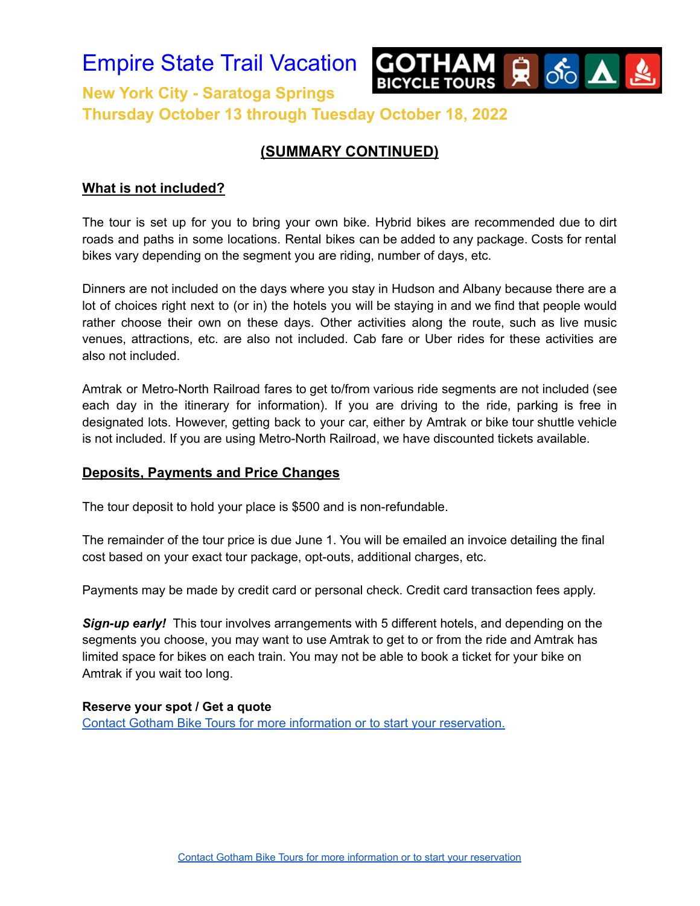Empire State Trail Vacation **GOTHAM A SO A New York City - Saratoga Springs Thursday October 13 through Tuesday October 18, 2022**

### **(SUMMARY CONTINUED)**

### **What is not included?**

The tour is set up for you to bring your own bike. Hybrid bikes are recommended due to dirt roads and paths in some locations. Rental bikes can be added to any package. Costs for rental bikes vary depending on the segment you are riding, number of days, etc.

Dinners are not included on the days where you stay in Hudson and Albany because there are a lot of choices right next to (or in) the hotels you will be staying in and we find that people would rather choose their own on these days. Other activities along the route, such as live music venues, attractions, etc. are also not included. Cab fare or Uber rides for these activities are also not included.

Amtrak or Metro-North Railroad fares to get to/from various ride segments are not included (see each day in the itinerary for information). If you are driving to the ride, parking is free in designated lots. However, getting back to your car, either by Amtrak or bike tour shuttle vehicle is not included. If you are using Metro-North Railroad, we have discounted tickets available.

#### **Deposits, Payments and Price Changes**

The tour deposit to hold your place is \$500 and is non-refundable.

The remainder of the tour price is due June 1. You will be emailed an invoice detailing the final cost based on your exact tour package, opt-outs, additional charges, etc.

Payments may be made by credit card or personal check. Credit card transaction fees apply.

**Sign-up early!** This tour involves arrangements with 5 different hotels, and depending on the segments you choose, you may want to use Amtrak to get to or from the ride and Amtrak has limited space for bikes on each train. You may not be able to book a ticket for your bike on Amtrak if you wait too long.

#### **Reserve your spot / Get a quote**

Contact Gotham Bike Tours for more information or to start your [reservation.](https://forms.gle/9dtqeYvJbmj6AoUo6)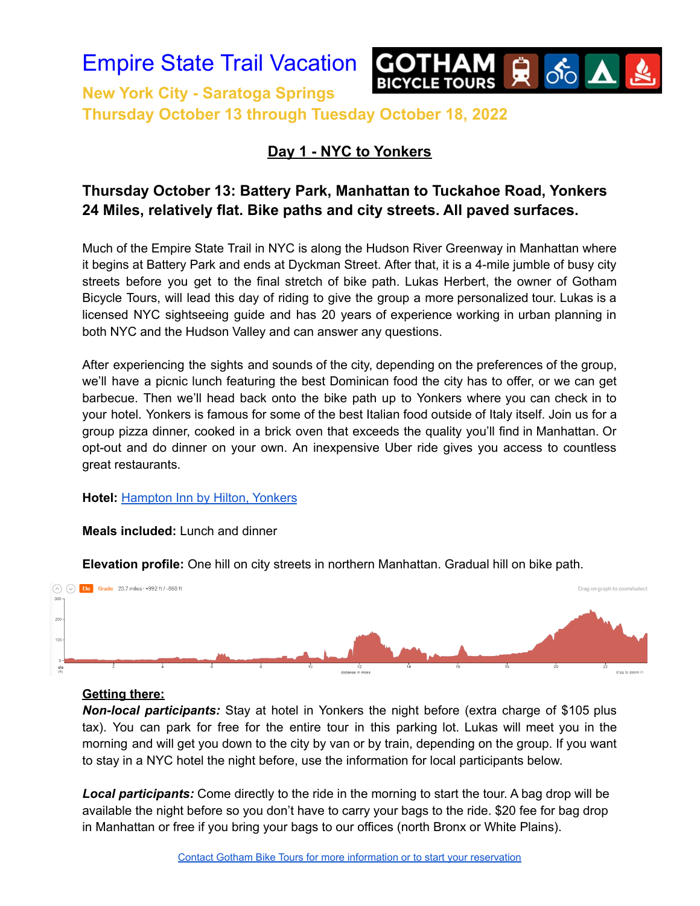

**New York City - Saratoga Springs Thursday October 13 through Tuesday October 18, 2022**

### **Day 1 - NYC to Yonkers**

### **Thursday October 13: Battery Park, Manhattan to Tuckahoe Road, Yonkers 24 Miles, relatively flat. Bike paths and city streets. All paved surfaces.**

Much of the Empire State Trail in NYC is along the Hudson River Greenway in Manhattan where it begins at Battery Park and ends at Dyckman Street. After that, it is a 4-mile jumble of busy city streets before you get to the final stretch of bike path. Lukas Herbert, the owner of Gotham Bicycle Tours, will lead this day of riding to give the group a more personalized tour. Lukas is a licensed NYC sightseeing guide and has 20 years of experience working in urban planning in both NYC and the Hudson Valley and can answer any questions.

After experiencing the sights and sounds of the city, depending on the preferences of the group, we'll have a picnic lunch featuring the best Dominican food the city has to offer, or we can get barbecue. Then we'll head back onto the bike path up to Yonkers where you can check in to your hotel. Yonkers is famous for some of the best Italian food outside of Italy itself. Join us for a group pizza dinner, cooked in a brick oven that exceeds the quality you'll find in Manhattan. Or opt-out and do dinner on your own. An inexpensive Uber ride gives you access to countless great restaurants.

#### **Hotel:** [Hampton](https://www.hilton.com/en/hotels/nycynhx-hampton-suites-yonkers/) Inn by Hilton, Yonkers

#### **Meals included:** Lunch and dinner

**Elevation profile:** One hill on city streets in northern Manhattan. Gradual hill on bike path.



#### **Getting there:**

*Non-local participants:* Stay at hotel in Yonkers the night before (extra charge of \$105 plus tax). You can park for free for the entire tour in this parking lot. Lukas will meet you in the morning and will get you down to the city by van or by train, depending on the group. If you want to stay in a NYC hotel the night before, use the information for local participants below.

*Local participants:* Come directly to the ride in the morning to start the tour. A bag drop will be available the night before so you don't have to carry your bags to the ride. \$20 fee for bag drop in Manhattan or free if you bring your bags to our offices (north Bronx or White Plains).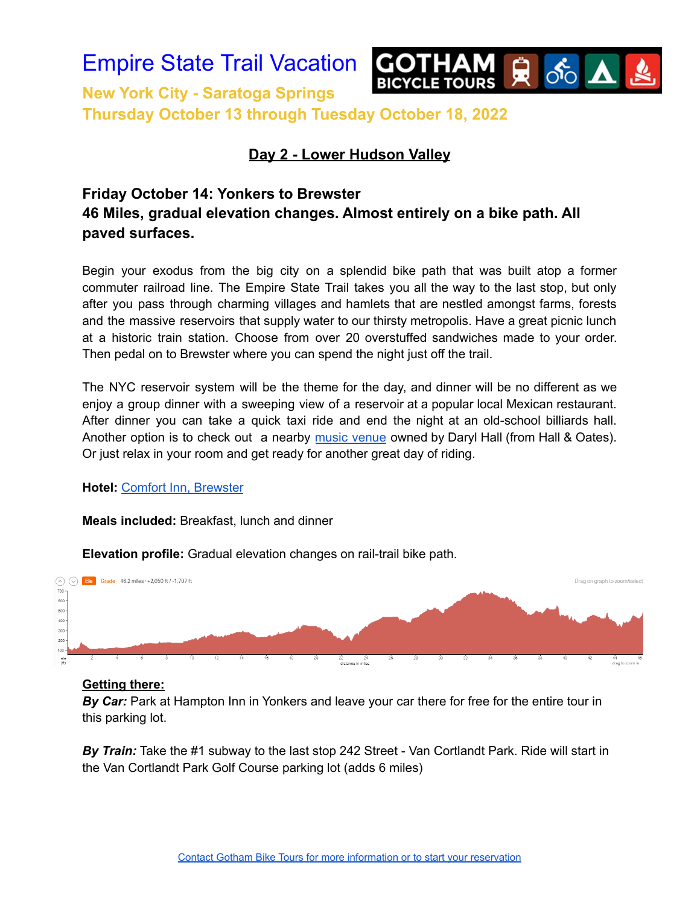

**New York City - Saratoga Springs Thursday October 13 through Tuesday October 18, 2022**

### **Day 2 - Lower Hudson Valley**

### **Friday October 14: Yonkers to Brewster 46 Miles, gradual elevation changes. Almost entirely on a bike path. All paved surfaces.**

Begin your exodus from the big city on a splendid bike path that was built atop a former commuter railroad line. The Empire State Trail takes you all the way to the last stop, but only after you pass through charming villages and hamlets that are nestled amongst farms, forests and the massive reservoirs that supply water to our thirsty metropolis. Have a great picnic lunch at a historic train station. Choose from over 20 overstuffed sandwiches made to your order. Then pedal on to Brewster where you can spend the night just off the trail.

The NYC reservoir system will be the theme for the day, and dinner will be no different as we enjoy a group dinner with a sweeping view of a reservoir at a popular local Mexican restaurant. After dinner you can take a quick taxi ride and end the night at an old-school billiards hall. Another option is to check out a nearby music [venue](https://www.darylshouseclub.com/) owned by Daryl Hall (from Hall & Oates). Or just relax in your room and get ready for another great day of riding.

#### **Hotel:** Comfort Inn, [Brewster](https://www.choicehotels.com/new-york/brewster/comfort-inn-hotels/ny764)

#### **Meals included:** Breakfast, lunch and dinner



**Elevation profile:** Gradual elevation changes on rail-trail bike path.

#### **Getting there:**

*By Car:* Park at Hampton Inn in Yonkers and leave your car there for free for the entire tour in this parking lot.

*By Train:* Take the #1 subway to the last stop 242 Street - Van Cortlandt Park. Ride will start in the Van Cortlandt Park Golf Course parking lot (adds 6 miles)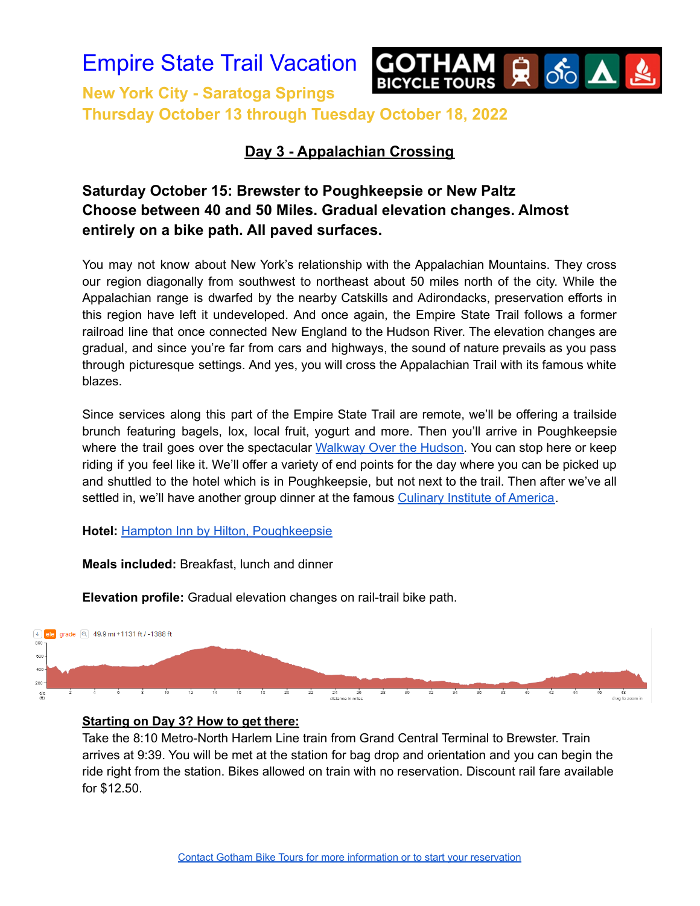

**New York City - Saratoga Springs Thursday October 13 through Tuesday October 18, 2022**

### **Day 3 - Appalachian Crossing**

### **Saturday October 15: Brewster to Poughkeepsie or New Paltz Choose between 40 and 50 Miles. Gradual elevation changes. Almost entirely on a bike path. All paved surfaces.**

You may not know about New York's relationship with the Appalachian Mountains. They cross our region diagonally from southwest to northeast about 50 miles north of the city. While the Appalachian range is dwarfed by the nearby Catskills and Adirondacks, preservation efforts in this region have left it undeveloped. And once again, the Empire State Trail follows a former railroad line that once connected New England to the Hudson River. The elevation changes are gradual, and since you're far from cars and highways, the sound of nature prevails as you pass through picturesque settings. And yes, you will cross the Appalachian Trail with its famous white blazes.

Since services along this part of the Empire State Trail are remote, we'll be offering a trailside brunch featuring bagels, lox, local fruit, yogurt and more. Then you'll arrive in Poughkeepsie where the trail goes over the spectacular [Walkway](https://walkway.org/) Over the Hudson. You can stop here or keep riding if you feel like it. We'll offer a variety of end points for the day where you can be picked up and shuttled to the hotel which is in Poughkeepsie, but not next to the trail. Then after we've all settled in, we'll have another group dinner at the famous Culinary Institute of [America.](https://www.americanbountyrestaurant.com/)

#### **Hotel:** Hampton Inn by Hilton, [Poughkeepsie](https://www.hilton.com/en/hotels/pounyhx-hampton-suites-poughkeepsie/)

**Meals included:** Breakfast, lunch and dinner

**Elevation profile:** Gradual elevation changes on rail-trail bike path.



### **Starting on Day 3? How to get there:**

Take the 8:10 Metro-North Harlem Line train from Grand Central Terminal to Brewster. Train arrives at 9:39. You will be met at the station for bag drop and orientation and you can begin the ride right from the station. Bikes allowed on train with no reservation. Discount rail fare available for \$12.50.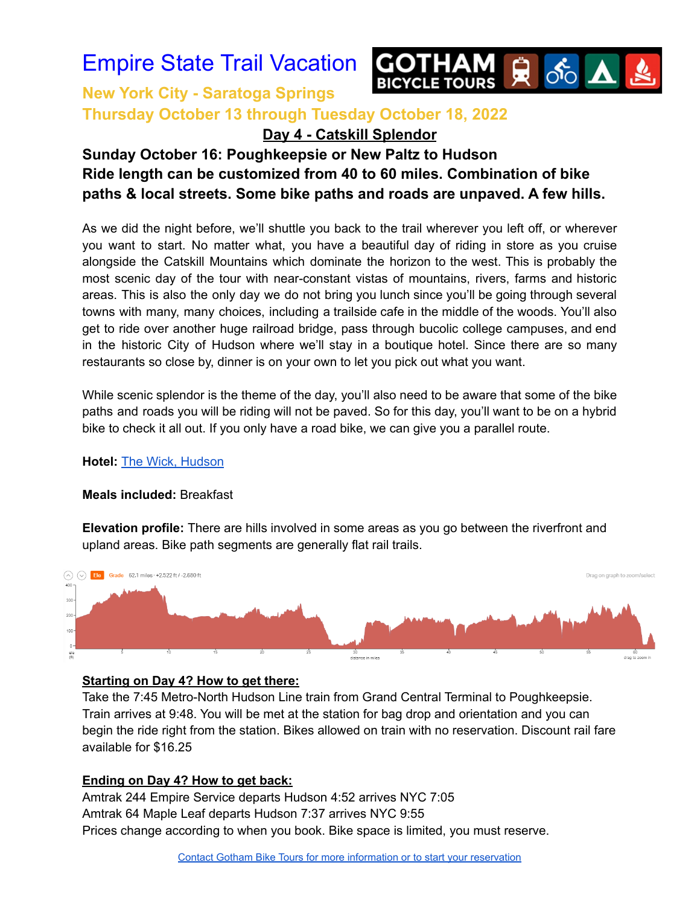

## **New York City - Saratoga Springs Thursday October 13 through Tuesday October 18, 2022**

**Day 4 - Catskill Splendor**

### **Sunday October 16: Poughkeepsie or New Paltz to Hudson Ride length can be customized from 40 to 60 miles. Combination of bike paths & local streets. Some bike paths and roads are unpaved. A few hills.**

As we did the night before, we'll shuttle you back to the trail wherever you left off, or wherever you want to start. No matter what, you have a beautiful day of riding in store as you cruise alongside the Catskill Mountains which dominate the horizon to the west. This is probably the most scenic day of the tour with near-constant vistas of mountains, rivers, farms and historic areas. This is also the only day we do not bring you lunch since you'll be going through several towns with many, many choices, including a trailside cafe in the middle of the woods. You'll also get to ride over another huge railroad bridge, pass through bucolic college campuses, and end in the historic City of Hudson where we'll stay in a boutique hotel. Since there are so many restaurants so close by, dinner is on your own to let you pick out what you want.

While scenic splendor is the theme of the day, you'll also need to be aware that some of the bike paths and roads you will be riding will not be paved. So for this day, you'll want to be on a hybrid bike to check it all out. If you only have a road bike, we can give you a parallel route.

### **Hotel:** The Wick, [Hudson](https://www.thewickhotel.com/)

### **Meals included:** Breakfast

**Elevation profile:** There are hills involved in some areas as you go between the riverfront and upland areas. Bike path segments are generally flat rail trails.



### **Starting on Day 4? How to get there:**

Take the 7:45 Metro-North Hudson Line train from Grand Central Terminal to Poughkeepsie. Train arrives at 9:48. You will be met at the station for bag drop and orientation and you can begin the ride right from the station. Bikes allowed on train with no reservation. Discount rail fare available for \$16.25

### **Ending on Day 4? How to get back:**

Amtrak 244 Empire Service departs Hudson 4:52 arrives NYC 7:05 Amtrak 64 Maple Leaf departs Hudson 7:37 arrives NYC 9:55 Prices change according to when you book. Bike space is limited, you must reserve.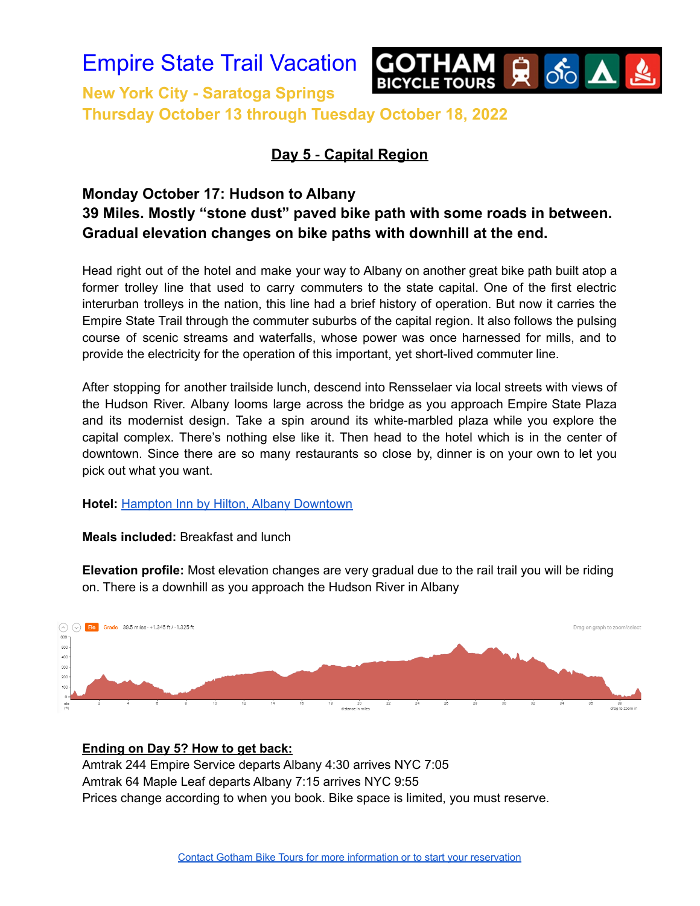

**New York City - Saratoga Springs Thursday October 13 through Tuesday October 18, 2022**

### **Day 5** - **Capital Region**

### **Monday October 17: Hudson to Albany 39 Miles. Mostly "stone dust" paved bike path with some roads in between. Gradual elevation changes on bike paths with downhill at the end.**

Head right out of the hotel and make your way to Albany on another great bike path built atop a former trolley line that used to carry commuters to the state capital. One of the first electric interurban trolleys in the nation, this line had a brief history of operation. But now it carries the Empire State Trail through the commuter suburbs of the capital region. It also follows the pulsing course of scenic streams and waterfalls, whose power was once harnessed for mills, and to provide the electricity for the operation of this important, yet short-lived commuter line.

After stopping for another trailside lunch, descend into Rensselaer via local streets with views of the Hudson River. Albany looms large across the bridge as you approach Empire State Plaza and its modernist design. Take a spin around its white-marbled plaza while you explore the capital complex. There's nothing else like it. Then head to the hotel which is in the center of downtown. Since there are so many restaurants so close by, dinner is on your own to let you pick out what you want.

**Hotel:** Hampton Inn by Hilton, Albany [Downtown](https://www.hilton.com/en/hotels/albhshx-hampton-suites-albany-downtown/)

**Meals included:** Breakfast and lunch

**Elevation profile:** Most elevation changes are very gradual due to the rail trail you will be riding on. There is a downhill as you approach the Hudson River in Albany



**Ending on Day 5? How to get back:** Amtrak 244 Empire Service departs Albany 4:30 arrives NYC 7:05 Amtrak 64 Maple Leaf departs Albany 7:15 arrives NYC 9:55 Prices change according to when you book. Bike space is limited, you must reserve.